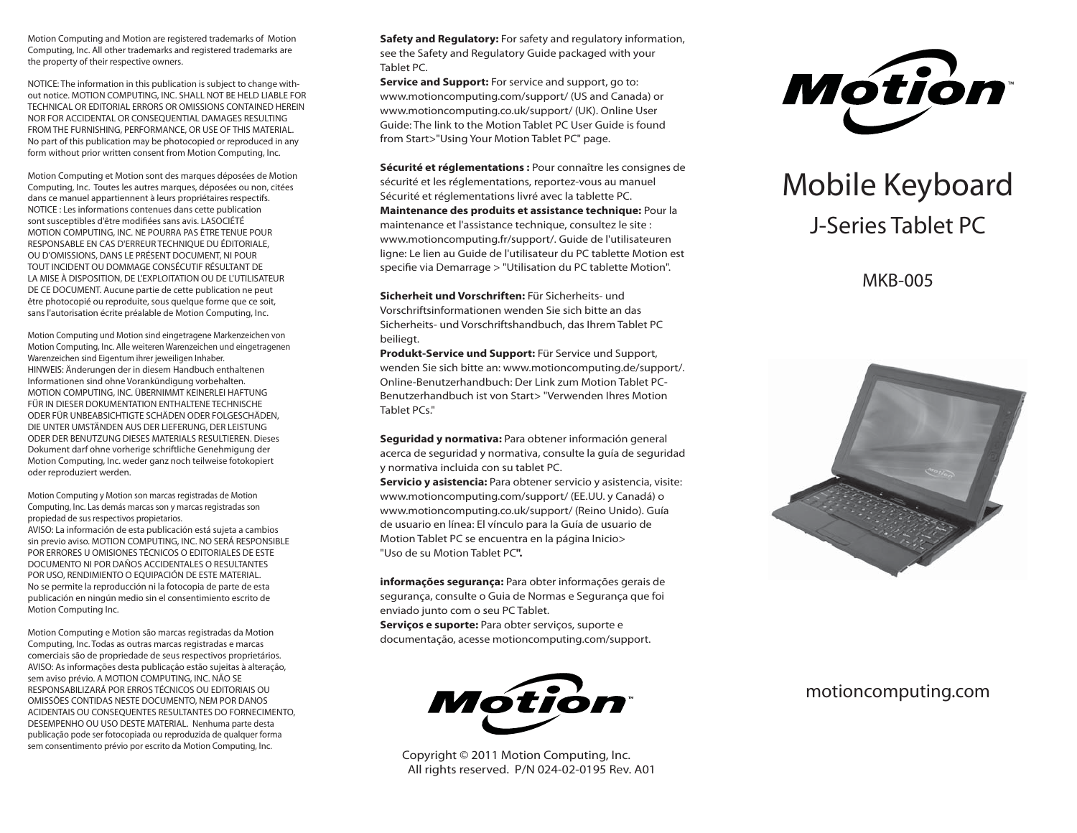Motion Computing and Motion are registered trademarks of Motion Computing, Inc. All other trademarks and registered trademarks are the property of their respective owners.

NOTICE: The information in this publication is subject to change without notice. MOTION COMPUTING, INC. SHALL NOT BE HELD LIABLE FOR TECHNICAL OR EDITORIAL ERRORS OR OMISSIONS CONTAINED HEREIN NOR FOR ACCIDENTAL OR CONSEQUENTIAL DAMAGES RESULTING FROM THE FURNISHING, PERFORMANCE, OR USE OF THIS MATERIAL. No part of this publication may be photocopied or reproduced in any form without prior written consent from Motion Computing, Inc.

Motion Computing et Motion sont des marques déposées de Motion Computing, Inc. Toutes les autres marques, déposées ou non, citées dans ce manuel appartiennent à leurs propriétaires respectifs. NOTICE : Les informations contenues dans cette publication sont susceptibles d'être modifiées sans avis. LASOCIÉTÉ MOTION COMPUTING, INC. NE POURRA PAS ÊTRE TENUE POUR RESPONSABLE EN CAS D'ERREUR TECHNIQUE DU ÉDITORIALE, OU D'OMISSIONS, DANS LE PRÉSENT DOCUMENT, NI POUR TOUT INCIDENT OU DOMMAGE CONSÉCUTIF RÉSULTANT DE LA MISE À DISPOSITION, DE L'EXPLOITATION OU DE L'UTILISATEUR DE CE DOCUMENT. Aucune partie de cette publication ne peut être photocopié ou reproduite, sous quelque forme que ce soit, sans l'autorisation écrite préalable de Motion Computing, Inc.

Motion Computing und Motion sind eingetragene Markenzeichen von Motion Computing, Inc. Alle weiteren Warenzeichen und eingetragenen Warenzeichen sind Eigentum ihrer jeweiligen Inhaber. HINWEIS: Änderungen der in diesem Handbuch enthaltenen Informationen sind ohne Vorankündigung vorbehalten. MOTION COMPUTING, INC. ÜBERNIMMT KEINERLEI HAFTUNG FÜR IN DIESER DOKUMENTATION ENTHALTENE TECHNISCHE ODER FÜR UNBEABSICHTIGTE SCHÄDEN ODER FOLGESCHÄDEN, DIE UNTER UMSTÄNDEN AUS DER LIEFERUNG, DER LEISTUNG ODER DER BENUTZUNG DIESES MATERIALS RESULTIEREN. Dieses Dokument darf ohne vorherige schriftliche Genehmigung der Motion Computing, Inc. weder ganz noch teilweise fotokopiert oder reproduziert werden.

Motion Computing y Motion son marcas registradas de Motion Computing, Inc. Las demás marcas son y marcas registradas son propiedad de sus respectivos propietarios. AVISO: La información de esta publicación está sujeta a cambios sin previo aviso. MOTION COMPUTING, INC. NO SERÁ RESPONSIBLE POR ERRORES U OMISIONES TÉCNICOS O EDITORIALES DE ESTE DOCUMENTO NI POR DAÑOS ACCIDENTALES O RESULTANTES POR USO, RENDIMIENTO O EQUIPACIÓN DE ESTE MATERIAL. No se permite la reproducción ni la fotocopia de parte de esta publicación en ningún medio sin el consentimiento escrito de Motion Computing Inc.

Motion Computing e Motion são marcas registradas da Motion Computing, Inc. Todas as outras marcas registradas e marcas comerciais são de propriedade de seus respectivos proprietários. AVISO: As informações desta publicação estão sujeitas à alteração, sem aviso prévio. A MOTION COMPUTING, INC. NÃO SE RESPONSABILIZARÁ POR ERROS TÉCNICOS OU EDITORIAIS OU OMISSÕES CONTIDAS NESTE DOCUMENTO, NEM POR DANOS ACIDENTAIS OU CONSEQUENTES RESULTANTES DO FORNECIMENTO, DESEMPENHO OU USO DESTE MATERIAL. Nenhuma parte desta publicação pode ser fotocopiada ou reproduzida de qualquer forma sem consentimento prévio por escrito da Motion Computing, Inc.

**Safety and Regulatory:** For safety and regulatory information, see the Safety and Regulatory Guide packaged with your Tablet PC.

**Service and Support:** For service and support, go to: www.motioncomputing.com/support/ (US and Canada) or www.motioncomputing.co.uk/support/ (UK). Online User Guide: The link to the Motion Tablet PC User Guide is found from Start>"Using Your Motion Tablet PC" page.

**Sécurité et réglementations :** Pour connaître les consignes de sécurité et les réglementations, reportez-vous au manuel Sécurité et réglementations livré avec la tablette PC. **Maintenance des produits et assistance technique:** Pour la maintenance et l'assistance technique, consultez le site : www.motioncomputing.fr/support/. Guide de l'utilisateuren ligne: Le lien au Guide de l'utilisateur du PC tablette Motion est specifie via Demarrage > "Utilisation du PC tablette Motion".

**Sicherheit und Vorschriften:** Für Sicherheits- und Vorschriftsinformationen wenden Sie sich bitte an das Sicherheits- und Vorschriftshandbuch, das Ihrem Tablet PC beiliegt.

**Produkt-Service und Support:** Für Service und Support, wenden Sie sich bitte an: www.motioncomputing.de/support/. Online-Benutzerhandbuch: Der Link zum Motion Tablet PC-Benutzerhandbuch ist von Start> "Verwenden Ihres Motion Tablet PCs."

**Seguridad y normativa:** Para obtener información general acerca de seguridad y normativa, consulte la guía de seguridad y normativa incluida con su tablet PC.

**Servicio y asistencia:** Para obtener servicio y asistencia, visite: www.motioncomputing.com/support/ (EE.UU. y Canadá) o www.motioncomputing.co.uk/support/ (Reino Unido). Guía de usuario en línea: El vínculo para la Guía de usuario de Motion Tablet PC se encuentra en la página Inicio> "Uso de su Motion Tablet PC**".**

**informações segurança:** Para obter informações gerais de segurança, consulte o Guia de Normas e Segurança que foi enviado junto com o seu PC Tablet.

**Serviços e suporte:** Para obter serviços, suporte e documentação, acesse motioncomputing.com/support.



 Copyright © 2011 Motion Computing, Inc. All rights reserved. P/N 024-02-0195 Rev. A01



# Mobile Keyboard J-Series Tablet PC

MKB-005



## motioncomputing.com